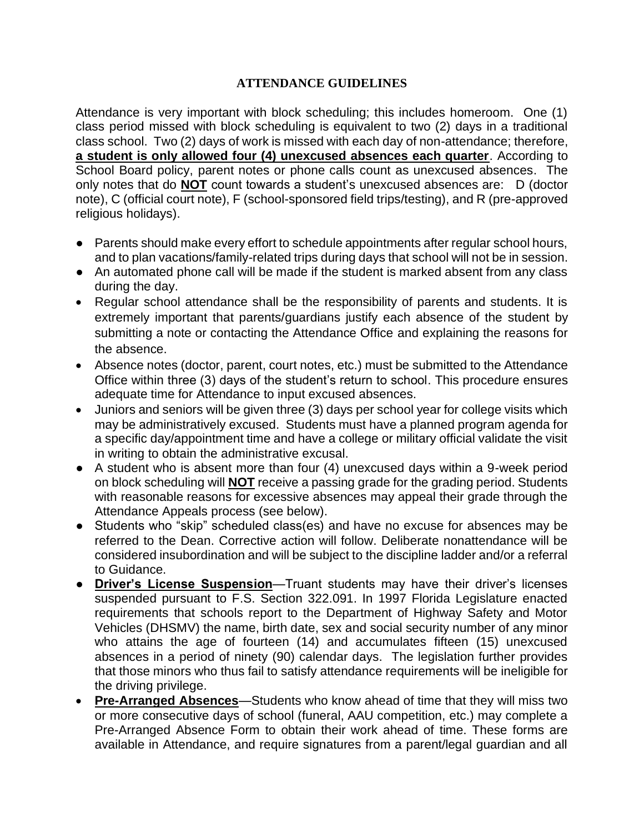## **ATTENDANCE GUIDELINES**

Attendance is very important with block scheduling; this includes homeroom. One (1) class period missed with block scheduling is equivalent to two (2) days in a traditional class school. Two (2) days of work is missed with each day of non-attendance; therefore, **a student is only allowed four (4) unexcused absences each quarter**. According to School Board policy, parent notes or phone calls count as unexcused absences. The only notes that do **NOT** count towards a student's unexcused absences are: D (doctor note), C (official court note), F (school-sponsored field trips/testing), and R (pre-approved religious holidays).

- Parents should make every effort to schedule appointments after regular school hours, and to plan vacations/family-related trips during days that school will not be in session.
- An automated phone call will be made if the student is marked absent from any class during the day.
- Regular school attendance shall be the responsibility of parents and students. It is extremely important that parents/guardians justify each absence of the student by submitting a note or contacting the Attendance Office and explaining the reasons for the absence.
- Absence notes (doctor, parent, court notes, etc.) must be submitted to the Attendance Office within three (3) days of the student's return to school. This procedure ensures adequate time for Attendance to input excused absences.
- Juniors and seniors will be given three (3) days per school year for college visits which may be administratively excused. Students must have a planned program agenda for a specific day/appointment time and have a college or military official validate the visit in writing to obtain the administrative excusal.
- A student who is absent more than four (4) unexcused days within a 9-week period on block scheduling will **NOT** receive a passing grade for the grading period. Students with reasonable reasons for excessive absences may appeal their grade through the Attendance Appeals process (see below).
- Students who "skip" scheduled class(es) and have no excuse for absences may be referred to the Dean. Corrective action will follow. Deliberate nonattendance will be considered insubordination and will be subject to the discipline ladder and/or a referral to Guidance.
- **Driver's License Suspension**—Truant students may have their driver's licenses suspended pursuant to F.S. Section 322.091. In 1997 Florida Legislature enacted requirements that schools report to the Department of Highway Safety and Motor Vehicles (DHSMV) the name, birth date, sex and social security number of any minor who attains the age of fourteen (14) and accumulates fifteen (15) unexcused absences in a period of ninety (90) calendar days. The legislation further provides that those minors who thus fail to satisfy attendance requirements will be ineligible for the driving privilege.
- **Pre-Arranged Absences**—Students who know ahead of time that they will miss two or more consecutive days of school (funeral, AAU competition, etc.) may complete a Pre-Arranged Absence Form to obtain their work ahead of time. These forms are available in Attendance, and require signatures from a parent/legal guardian and all